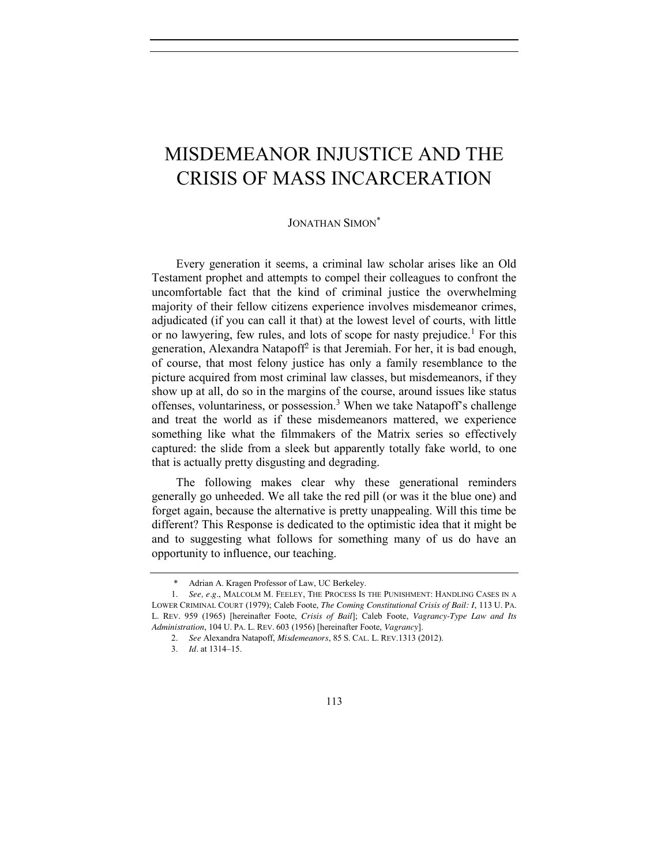## MISDEMEANOR INJUSTICE AND THE CRISIS OF MASS INCARCERATION

## <span id="page-0-1"></span><span id="page-0-0"></span>JONATHAN SIMON\*

Every generation it seems, a criminal law scholar arises like an Old Testament prophet and attempts to compel their colleagues to confront the uncomfortable fact that the kind of criminal justice the overwhelming majority of their fellow citizens experience involves misdemeanor crimes, adjudicated (if you can call it that) at the lowest level of courts, with little or no lawyering, few rules, and lots of scope for nasty prejudice.<sup>1</sup> For this generation, Alexandra Natapoff<sup>2</sup> is that Jeremiah. For her, it is bad enough, of course, that most felony justice has only a family resemblance to the picture acquired from most criminal law classes, but misdemeanors, if they show up at all, do so in the margins of the course, around issues like status offenses, voluntariness, or possession.<sup>3</sup> When we take Natapoff's challenge and treat the world as if these misdemeanors mattered, we experience something like what the filmmakers of the Matrix series so effectively captured: the slide from a sleek but apparently totally fake world, to one that is actually pretty disgusting and degrading.

The following makes clear why these generational reminders generally go unheeded. We all take the red pill (or was it the blue one) and forget again, because the alternative is pretty unappealing. Will this time be different? This Response is dedicated to the optimistic idea that it might be and to suggesting what follows for something many of us do have an opportunity to influence, our teaching.

Adrian A. Kragen Professor of Law, UC Berkeley.

<sup>1.</sup> *See, e.g.*, MALCOLM M. FEELEY, THE PROCESS IS THE PUNISHMENT: HANDLING CASES IN A LOWER CRIMINAL COURT (1979); Caleb Foote, *The Coming Constitutional Crisis of Bail: I*, 113 U. PA. L. REV. 959 (1965) [hereinafter Foote, *Crisis of Bail*]; Caleb Foote, *Vagrancy-Type Law and Its Administration*, 104 U. PA. L. REV. 603 (1956) [hereinafter Foote, *Vagrancy*].

<sup>2.</sup> *See* Alexandra Natapoff, *Misdemeanors*, 85 S. CAL. L. REV.1313 (2012).

<sup>3.</sup> *Id.* at 1314–15.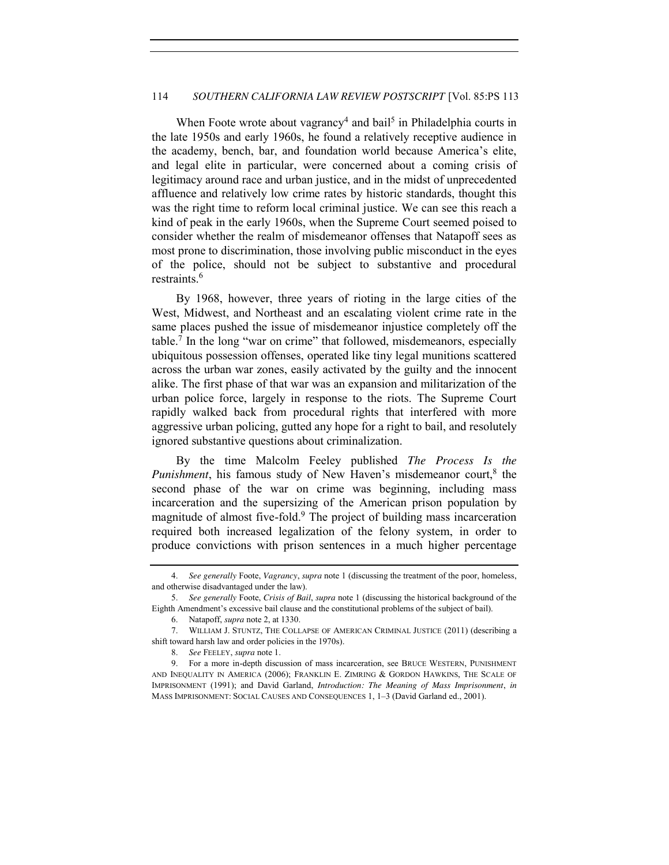## 114 *SOUTHERN CALIFORNIA LAW REVIEW POSTSCRIPT* [Vol. 85:PS 113

When Foote wrote about vagrancy<sup>4</sup> and bail<sup>5</sup> in Philadelphia courts in the late 1950s and early 1960s, he found a relatively receptive audience in the academy, bench, bar, and foundation world because America's elite, and legal elite in particular, were concerned about a coming crisis of legitimacy around race and urban justice, and in the midst of unprecedented affluence and relatively low crime rates by historic standards, thought this was the right time to reform local criminal justice. We can see this reach a kind of peak in the early 1960s, when the Supreme Court seemed poised to consider whether the realm of misdemeanor offenses that Natapoff sees as most prone to discrimination, those involving public misconduct in the eyes of the police, should not be subject to substantive and procedural restraints.<sup>6</sup>

By 1968, however, three years of rioting in the large cities of the West, Midwest, and Northeast and an escalating violent crime rate in the same places pushed the issue of misdemeanor injustice completely off the table.7 In the long "war on crime" that followed, misdemeanors, especially ubiquitous possession offenses, operated like tiny legal munitions scattered across the urban war zones, easily activated by the guilty and the innocent alike. The first phase of that war was an expansion and militarization of the urban police force, largely in response to the riots. The Supreme Court rapidly walked back from procedural rights that interfered with more aggressive urban policing, gutted any hope for a right to bail, and resolutely ignored substantive questions about criminalization.

<span id="page-1-0"></span>By the time Malcolm Feeley published *The Process Is the Punishment*, his famous study of New Haven's misdemeanor court,<sup>8</sup> the second phase of the war on crime was beginning, including mass incarceration and the supersizing of the American prison population by magnitude of almost five-fold.9 The project of building mass incarceration required both increased legalization of the felony system, in order to produce convictions with prison sentences in a much higher percentage

<sup>4.</sup> *See generally* Foote, *Vagrancy*, *supra* note [1](#page-0-0) (discussing the treatment of the poor, homeless, and otherwise disadvantaged under the law).

<sup>5.</sup> *See generally* Foote, *Crisis of Bail*, *supra* not[e 1](#page-0-0) (discussing the historical background of the Eighth Amendment's excessive bail clause and the constitutional problems of the subject of bail).

<sup>6.</sup> Natapoff, *supra* not[e 2,](#page-0-1) at 1330.

<sup>7.</sup> WILLIAM J. STUNTZ, THE COLLAPSE OF AMERICAN CRIMINAL JUSTICE (2011) (describing a shift toward harsh law and order policies in the 1970s).

<sup>8.</sup> *See* FEELEY, *supra* not[e 1.](#page-0-0)

<sup>9.</sup> For a more in-depth discussion of mass incarceration, see BRUCE WESTERN, PUNISHMENT AND INEQUALITY IN AMERICA (2006); FRANKLIN E. ZIMRING & GORDON HAWKINS, THE SCALE OF IMPRISONMENT (1991); and David Garland, *Introduction: The Meaning of Mass Imprisonment*, *in*  MASS IMPRISONMENT: SOCIAL CAUSES AND CONSEQUENCES 1, 1–3 (David Garland ed., 2001).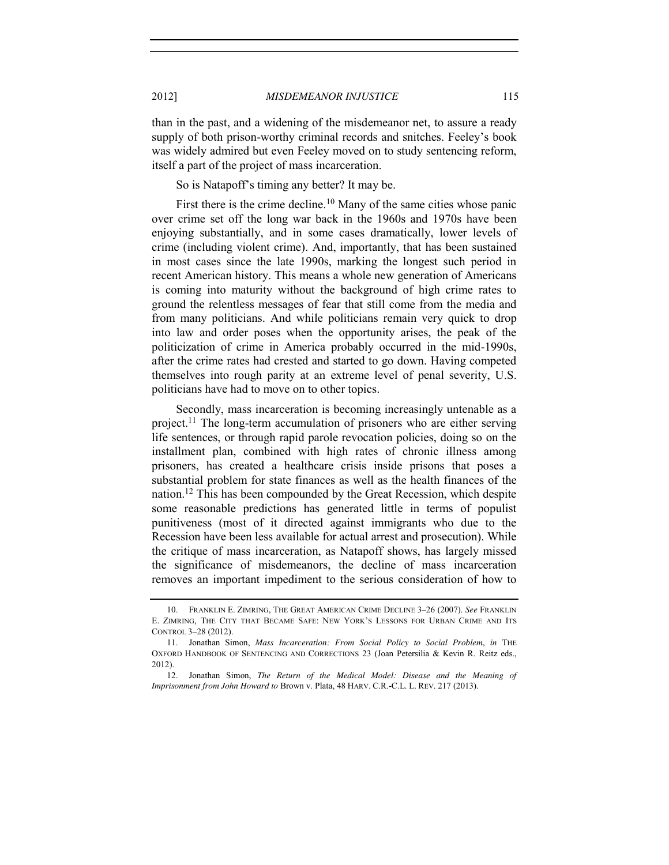than in the past, and a widening of the misdemeanor net, to assure a ready supply of both prison-worthy criminal records and snitches. Feeley's book was widely admired but even Feeley moved on to study sentencing reform, itself a part of the project of mass incarceration.

So is Natapoff's timing any better? It may be.

First there is the crime decline.<sup>10</sup> Many of the same cities whose panic over crime set off the long war back in the 1960s and 1970s have been enjoying substantially, and in some cases dramatically, lower levels of crime (including violent crime). And, importantly, that has been sustained in most cases since the late 1990s, marking the longest such period in recent American history. This means a whole new generation of Americans is coming into maturity without the background of high crime rates to ground the relentless messages of fear that still come from the media and from many politicians. And while politicians remain very quick to drop into law and order poses when the opportunity arises, the peak of the politicization of crime in America probably occurred in the mid-1990s, after the crime rates had crested and started to go down. Having competed themselves into rough parity at an extreme level of penal severity, U.S. politicians have had to move on to other topics.

Secondly, mass incarceration is becoming increasingly untenable as a project.<sup>11</sup> The long-term accumulation of prisoners who are either serving life sentences, or through rapid parole revocation policies, doing so on the installment plan, combined with high rates of chronic illness among prisoners, has created a healthcare crisis inside prisons that poses a substantial problem for state finances as well as the health finances of the nation.12 This has been compounded by the Great Recession, which despite some reasonable predictions has generated little in terms of populist punitiveness (most of it directed against immigrants who due to the Recession have been less available for actual arrest and prosecution). While the critique of mass incarceration, as Natapoff shows, has largely missed the significance of misdemeanors, the decline of mass incarceration removes an important impediment to the serious consideration of how to

<sup>10.</sup> FRANKLIN E. ZIMRING, THE GREAT AMERICAN CRIME DECLINE 3–26 (2007). *See* FRANKLIN E. ZIMRING, THE CITY THAT BECAME SAFE: NEW YORK'S LESSONS FOR URBAN CRIME AND ITS CONTROL 3–28 (2012).

<sup>11.</sup> Jonathan Simon, *Mass Incarceration: From Social Policy to Social Problem*, *in* THE OXFORD HANDBOOK OF SENTENCING AND CORRECTIONS 23 (Joan Petersilia & Kevin R. Reitz eds., 2012).

<sup>12.</sup> Jonathan Simon, *The Return of the Medical Model: Disease and the Meaning of Imprisonment from John Howard to* Brown v. Plata, 48 HARV. C.R.-C.L. L. REV. 217 (2013).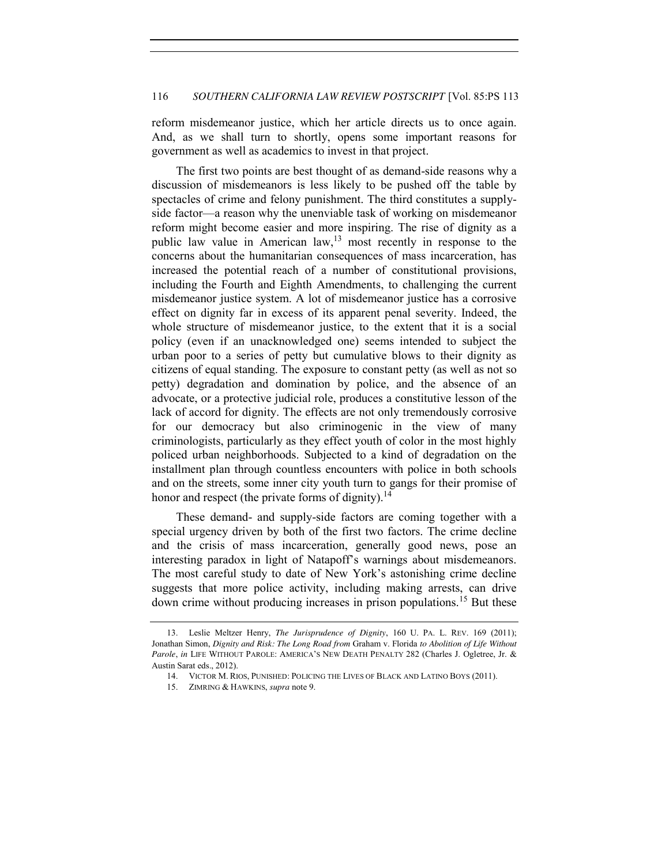reform misdemeanor justice, which her article directs us to once again. And, as we shall turn to shortly, opens some important reasons for government as well as academics to invest in that project.

The first two points are best thought of as demand-side reasons why a discussion of misdemeanors is less likely to be pushed off the table by spectacles of crime and felony punishment. The third constitutes a supplyside factor—a reason why the unenviable task of working on misdemeanor reform might become easier and more inspiring. The rise of dignity as a public law value in American law,  $13 \text{ most recently in response to the}$ concerns about the humanitarian consequences of mass incarceration, has increased the potential reach of a number of constitutional provisions, including the Fourth and Eighth Amendments, to challenging the current misdemeanor justice system. A lot of misdemeanor justice has a corrosive effect on dignity far in excess of its apparent penal severity. Indeed, the whole structure of misdemeanor justice, to the extent that it is a social policy (even if an unacknowledged one) seems intended to subject the urban poor to a series of petty but cumulative blows to their dignity as citizens of equal standing. The exposure to constant petty (as well as not so petty) degradation and domination by police, and the absence of an advocate, or a protective judicial role, produces a constitutive lesson of the lack of accord for dignity. The effects are not only tremendously corrosive for our democracy but also criminogenic in the view of many criminologists, particularly as they effect youth of color in the most highly policed urban neighborhoods. Subjected to a kind of degradation on the installment plan through countless encounters with police in both schools and on the streets, some inner city youth turn to gangs for their promise of honor and respect (the private forms of dignity). $^{14}$ 

These demand- and supply-side factors are coming together with a special urgency driven by both of the first two factors. The crime decline and the crisis of mass incarceration, generally good news, pose an interesting paradox in light of Natapoff's warnings about misdemeanors. The most careful study to date of New York's astonishing crime decline suggests that more police activity, including making arrests, can drive down crime without producing increases in prison populations.<sup>15</sup> But these

<sup>13.</sup> Leslie Meltzer Henry, *The Jurisprudence of Dignity*, 160 U. PA. L. REV. 169 (2011); Jonathan Simon, *Dignity and Risk: The Long Road from* Graham v. Florida *to Abolition of Life Without Parole*, *in* LIFE WITHOUT PAROLE: AMERICA'S NEW DEATH PENALTY 282 (Charles J. Ogletree, Jr. & Austin Sarat eds., 2012).

<sup>14.</sup> VICTOR M. RIOS, PUNISHED: POLICING THE LIVES OF BLACK AND LATINO BOYS (2011).

<sup>15.</sup> ZIMRING & HAWKINS, *supra* not[e 9.](#page-1-0)